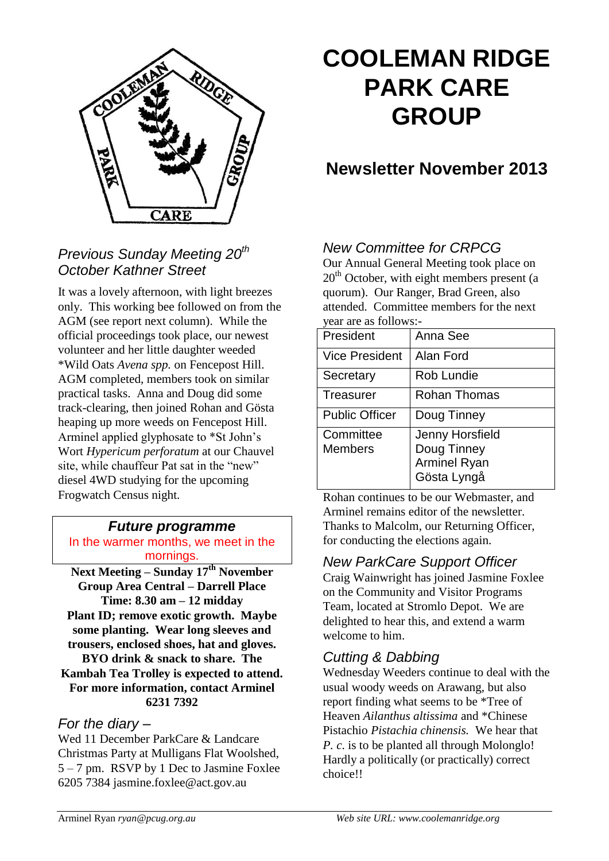

# **COOLEMAN RIDGE PARK CARE GROUP**

## **Newsletter November 2013**

## *Previous Sunday Meeting 20th October Kathner Street*

It was a lovely afternoon, with light breezes only. This working bee followed on from the AGM (see report next column). While the official proceedings took place, our newest volunteer and her little daughter weeded \*Wild Oats *Avena spp.* on Fencepost Hill. AGM completed, members took on similar practical tasks. Anna and Doug did some track-clearing, then joined Rohan and Gösta heaping up more weeds on Fencepost Hill. Arminel applied glyphosate to \*St John's Wort *Hypericum perforatum* at our Chauvel site, while chauffeur Pat sat in the "new" diesel 4WD studying for the upcoming Frogwatch Census night.

## *Future programme*

In the warmer months, we meet in the mornings.

**Next Meeting – Sunday 17th November Group Area Central – Darrell Place Time: 8.30 am – 12 midday Plant ID; remove exotic growth. Maybe some planting. Wear long sleeves and trousers, enclosed shoes, hat and gloves. BYO drink & snack to share. The Kambah Tea Trolley is expected to attend. For more information, contact Arminel 6231 7392**

### *For the diary –*

Wed 11 December ParkCare & Landcare Christmas Party at Mulligans Flat Woolshed, 5 – 7 pm. RSVP by 1 Dec to Jasmine Foxlee 6205 7384 jasmine.foxlee@act.gov.au

## *New Committee for CRPCG*

Our Annual General Meeting took place on  $20<sup>th</sup>$  October, with eight members present (a quorum). Our Ranger, Brad Green, also attended. Committee members for the next year are as follows:-

| President                   | Anna See                                                                    |
|-----------------------------|-----------------------------------------------------------------------------|
| <b>Vice President</b>       | Alan Ford                                                                   |
| Secretary                   | Rob Lundie                                                                  |
| Treasurer                   | Rohan Thomas                                                                |
| <b>Public Officer</b>       | Doug Tinney                                                                 |
| Committee<br><b>Members</b> | <b>Jenny Horsfield</b><br>Doug Tinney<br><b>Arminel Ryan</b><br>Gösta Lyngå |

Rohan continues to be our Webmaster, and Arminel remains editor of the newsletter. Thanks to Malcolm, our Returning Officer, for conducting the elections again.

### *New ParkCare Support Officer*

Craig Wainwright has joined Jasmine Foxlee on the Community and Visitor Programs Team, located at Stromlo Depot. We are delighted to hear this, and extend a warm welcome to him.

## *Cutting & Dabbing*

Wednesday Weeders continue to deal with the usual woody weeds on Arawang, but also report finding what seems to be \*Tree of Heaven *Ailanthus altissima* and \*Chinese Pistachio *Pistachia chinensis.* We hear that *P. c*. is to be planted all through Molonglo! Hardly a politically (or practically) correct choice!!